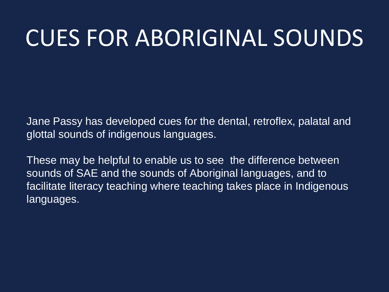Jane Passy has developed cues for the dental, retroflex, palatal and glottal sounds of indigenous languages.

These may be helpful to enable us to see the difference between sounds of SAE and the sounds of Aboriginal languages, and to facilitate literacy teaching where teaching takes place in Indigenous languages.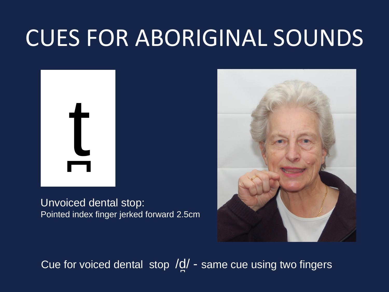

Unvoiced dental stop: Pointed index finger jerked forward 2.5cm



Cue for voiced dental stop /d̪/ - same cue using two fingers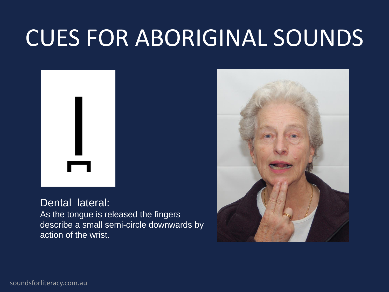

#### Dental lateral:

As the tongue is released the fingers describe a small semi-circle downwards by action of the wrist.

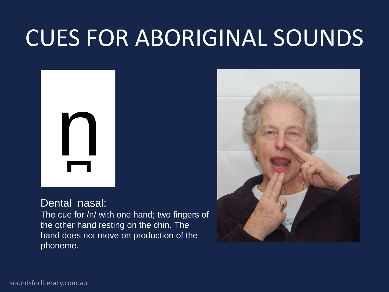

### Dental nasal:

The cue for /n/ with one hand; two fingers of the other hand resting on the chin. The hand does not move on production of the phoneme.

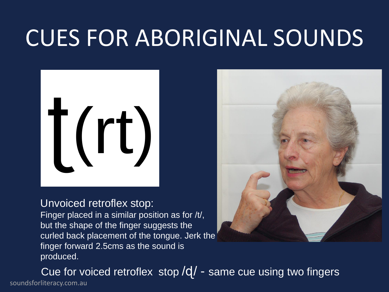

#### Unvoiced retroflex stop:

Finger placed in a similar position as for /t/, but the shape of the finger suggests the curled back placement of the tongue. Jerk the finger forward 2.5cms as the sound is produced.



soundsforliteracy.com.au Cue for voiced retroflex stop /d/ - same cue using two fingers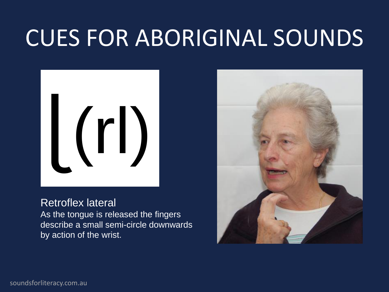

### Retroflex lateral

As the tongue is released the fingers describe a small semi-circle downwards by action of the wrist.

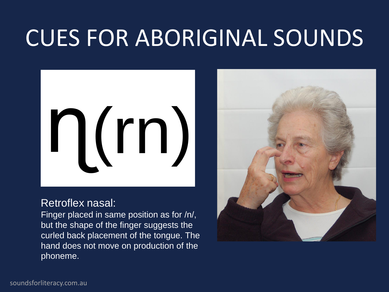

#### Retroflex nasal:

Finger placed in same position as for /n/, but the shape of the finger suggests the curled back placement of the tongue. The hand does not move on production of the phoneme.

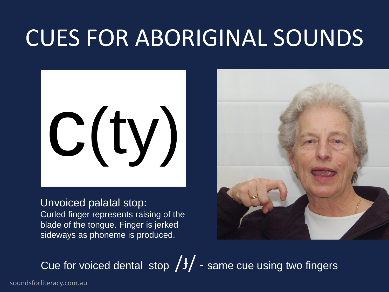

Unvoiced palatal stop:

Curled finger represents raising of the blade of the tongue. Finger is jerked sideways as phoneme is produced.



Cue for voiced dental stop  $/f/$  - same cue using two fingers

soundsforliteracy.com.au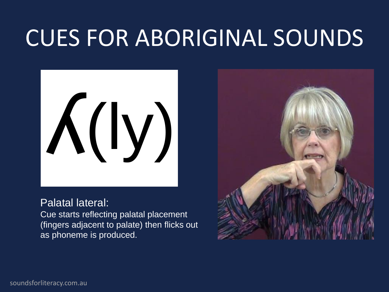

#### Palatal lateral:

Cue starts reflecting palatal placement (fingers adjacent to palate) then flicks out as phoneme is produced.

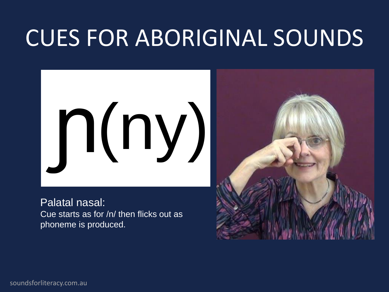

Palatal nasal: Cue starts as for /n/ then flicks out as phoneme is produced.